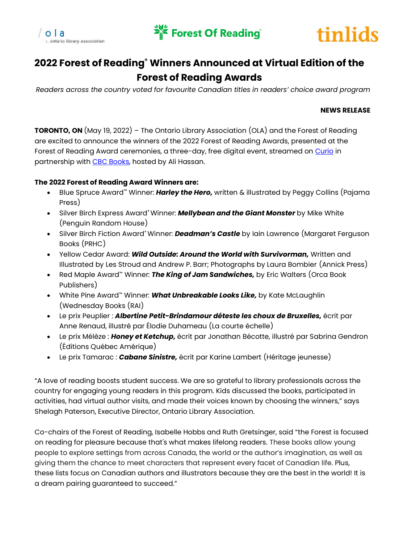





## **2022 Forest of Reading® Winners Announced at Virtual Edition of the Forest of Reading Awards**

*Readers across the country voted for favourite Canadian titles in readers' choice award program*

## **NEWS RELEASE**

**TORONTO, ON** (May 19, 2022) – The Ontario Library Association (OLA) and the Forest of Reading are excited to announce the winners of the 2022 Forest of Reading Awards, presented at the Forest of Reading Award ceremonies, a three-day, free digital event, streamed on [Curio](https://curio.ca/en/collection/forest-of-reading-2020-2822/) in partnership wit[h CBC Books,](https://www.cbc.ca/books) hosted by Ali Hassan.

## **The 2022 Forest of Reading Award Winners are:**

- Blue Spruce Award™ Winner: *Harley the Hero,* written & illustrated by Peggy Collins (Pajama Press)
- Silver Birch Express Award® Winner: *Mellybean and the Giant Monster* by Mike White (Penguin Random House)
- Silver Birch Fiction Award® Winner: *Deadman's Castle* by Iain Lawrence (Margaret Ferguson Books (PRHC)
- Yellow Cedar Award: *Wild Outside: Around the World with Survivorman,* Written and Illustrated by Les Stroud and Andrew P. Barr; Photographs by Laura Bombier (Annick Press)
- Red Maple Award™ Winner: *The King of Jam Sandwiches,* by Eric Walters (Orca Book Publishers)
- White Pine Award™ Winner: *What Unbreakable Looks Like,* by Kate McLaughlin (Wednesday Books (RAI)
- Le prix Peuplier : *Albertine Petit-Brindamour déteste les choux de Bruxelles,* écrit par Anne Renaud, illustré par Élodie Duhameau (La courte échelle)
- Le prix Mélèze : *Honey et Ketchup,* écrit par Jonathan Bécotte, illustré par Sabrina Gendron (Éditions Québec Amérique)
- Le prix Tamarac : *Cabane Sinistre,* écrit par Karine Lambert (Héritage jeunesse)

"A love of reading boosts student success. We are so grateful to library professionals across the country for engaging young readers in this program. Kids discussed the books, participated in activities, had virtual author visits, and made their voices known by choosing the winners," says Shelagh Paterson, Executive Director, Ontario Library Association.

Co-chairs of the Forest of Reading, Isabelle Hobbs and Ruth Gretsinger, said "the Forest is focused on reading for pleasure because that's what makes lifelong readers. These books allow young people to explore settings from across Canada, the world or the author's imagination, as well as giving them the chance to meet characters that represent every facet of Canadian life. Plus, these lists focus on Canadian authors and illustrators because they are the best in the world! It is a dream pairing guaranteed to succeed."